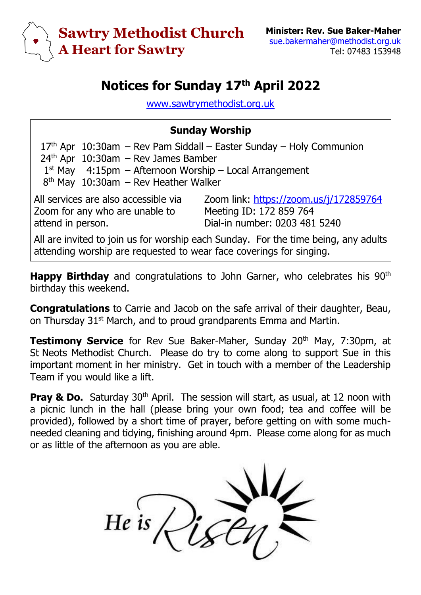

## **Notices for Sunday 17 th April 2022**

[www.sawtrymethodist.org.uk](http://www.sawtrymethodist.org.uk/)

## **Sunday Worship**

 $17<sup>th</sup>$  Apr  $10:30$ am – Rev Pam Siddall – Easter Sunday – Holy Communion  $24<sup>th</sup>$  Apr  $10:30$ am – Rev James Bamber 1 st May 4:15pm – Afternoon Worship – Local Arrangement 8<sup>th</sup> May 10:30am - Rev Heather Walker All services are also accessible via Zoom for any who are unable to attend in person. Zoom link:<https://zoom.us/j/172859764> Meeting ID: 172 859 764 Dial-in number: 0203 481 5240 All are invited to join us for worship each Sunday. For the time being, any adults attending worship are requested to wear face coverings for singing.

**Happy Birthday** and congratulations to John Garner, who celebrates his 90<sup>th</sup> birthday this weekend.

**Congratulations** to Carrie and Jacob on the safe arrival of their daughter, Beau, on Thursday 31<sup>st</sup> March, and to proud grandparents Emma and Martin.

**Testimony Service** for Rev Sue Baker-Maher, Sunday 20<sup>th</sup> May, 7:30pm, at St Neots Methodist Church. Please do try to come along to support Sue in this important moment in her ministry. Get in touch with a member of the Leadership Team if you would like a lift.

**Pray & Do.** Saturday 30<sup>th</sup> April. The session will start, as usual, at 12 noon with a picnic lunch in the hall (please bring your own food; tea and coffee will be provided), followed by a short time of prayer, before getting on with some muchneeded cleaning and tidying, finishing around 4pm. Please come along for as much or as little of the afternoon as you are able.